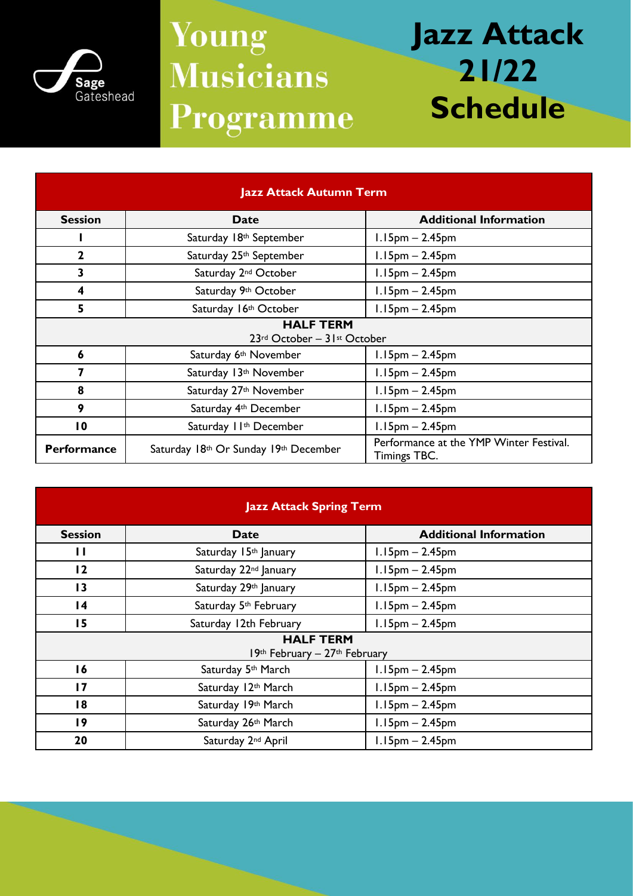

## **Young Musicians** Programme

## **Jazz Attack 21/22 Schedule**

| <b>Jazz Attack Autumn Term</b>                  |                                       |                                                                |  |
|-------------------------------------------------|---------------------------------------|----------------------------------------------------------------|--|
| <b>Session</b>                                  | Date                                  | <b>Additional Information</b>                                  |  |
|                                                 | Saturday 18th September               | $1.15$ pm $- 2.45$ pm                                          |  |
| $\mathbf{2}$                                    | Saturday 25 <sup>th</sup> September   | $1.15$ pm $- 2.45$ pm                                          |  |
| 3                                               | Saturday 2 <sup>nd</sup> October      | $1.15$ pm $- 2.45$ pm                                          |  |
| 4                                               | Saturday 9th October                  | $1.15$ pm $- 2.45$ pm                                          |  |
| 5                                               | Saturday 16th October                 | $1.15$ pm $- 2.45$ pm                                          |  |
| <b>HALF TERM</b><br>23rd October - 31st October |                                       |                                                                |  |
| 6                                               | Saturday 6 <sup>th</sup> November     | $1.15$ pm $- 2.45$ pm                                          |  |
| 7                                               | Saturday 13th November                | $1.15$ pm $- 2.45$ pm                                          |  |
| 8                                               | Saturday 27 <sup>th</sup> November    | $1.15$ pm $- 2.45$ pm                                          |  |
| 9                                               | Saturday 4th December                 | $1.15$ pm $- 2.45$ pm                                          |  |
| $\overline{10}$                                 | Saturday II <sup>th</sup> December    | $1.15$ pm $- 2.45$ pm                                          |  |
| <b>Performance</b>                              | Saturday 18th Or Sunday 19th December | Performance at the YMP Winter Festival.<br><b>Timings TBC.</b> |  |

| <b>Jazz Attack Spring Term</b>                    |                                   |                               |  |  |
|---------------------------------------------------|-----------------------------------|-------------------------------|--|--|
| <b>Session</b>                                    | <b>Date</b>                       | <b>Additional Information</b> |  |  |
| $\mathbf{H}$                                      | Saturday 15th January             | $1.15$ pm $- 2.45$ pm         |  |  |
| 12                                                | Saturday 22 <sup>nd</sup> January | $1.15$ pm $- 2.45$ pm         |  |  |
| $\overline{13}$                                   | Saturday 29th January             | $1.15$ pm $- 2.45$ pm         |  |  |
| $\overline{14}$                                   | Saturday 5th February             | $1.15$ pm $- 2.45$ pm         |  |  |
| 15                                                | Saturday 12th February            | $1.15$ pm $- 2.45$ pm         |  |  |
| <b>HALF TERM</b><br>19th February - 27th February |                                   |                               |  |  |
| 16                                                | Saturday 5th March                | $1.15pm - 2.45pm$             |  |  |
| $\overline{17}$                                   | Saturday 12th March               | $1.15$ pm $- 2.45$ pm         |  |  |
| 18                                                | Saturday 19th March               | $1.15pm - 2.45pm$             |  |  |
| $\overline{19}$                                   | Saturday 26th March               | $1.15$ pm $- 2.45$ pm         |  |  |
| 20                                                | Saturday 2 <sup>nd</sup> April    | $1.15pm - 2.45pm$             |  |  |